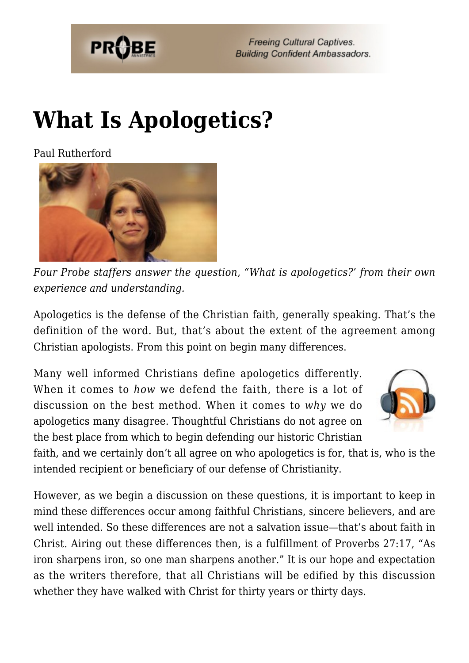

## **[What Is Apologetics?](https://probe.org/what-is-apologetics/)**

Paul Rutherford



*Four Probe staffers answer the question, "What is apologetics?' from their own experience and understanding.*

Apologetics is the defense of the Christian faith, generally speaking. That's the definition of the word. But, that's about the extent of the agreement among Christian apologists. From this point on begin many differences.

Many well informed Christians define apologetics differently. When it comes to *how* we defend the faith, there is a lot of discussion on the best method. When it comes to *why* we do apologetics many disagree. Thoughtful Christians do not agree on the best place from which to begin defending our historic Christian



faith, and we certainly don't all agree on who apologetics is for, that is, who is the intended recipient or beneficiary of our defense of Christianity.

However, as we begin a discussion on these questions, it is important to keep in mind these differences occur among faithful Christians, sincere believers, and are well intended. So these differences are not a salvation issue—that's about faith in Christ. Airing out these differences then, is a fulfillment of Proverbs 27:17, "As iron sharpens iron, so one man sharpens another." It is our hope and expectation as the writers therefore, that all Christians will be edified by this discussion whether they have walked with Christ for thirty years or thirty days.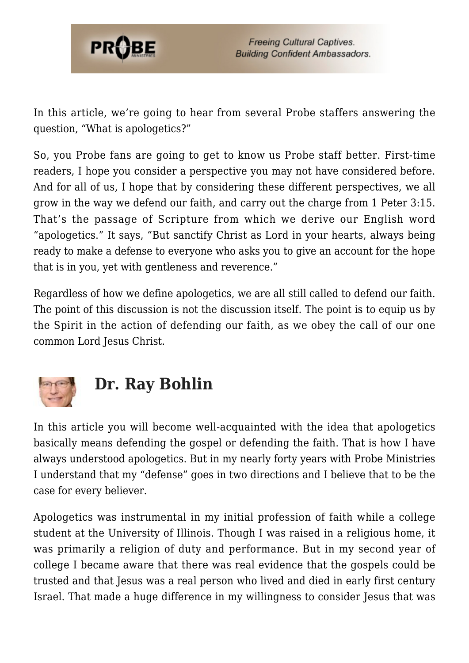

In this article, we're going to hear from several Probe staffers answering the question, "What is apologetics?"

So, you Probe fans are going to get to know us Probe staff better. First-time readers, I hope you consider a perspective you may not have considered before. And for all of us, I hope that by considering these different perspectives, we all grow in the way we defend our faith, and carry out the charge from 1 Peter 3:15. That's the passage of Scripture from which we derive our English word "apologetics." It says, "But sanctify Christ as Lord in your hearts, always being ready to make a defense to everyone who asks you to give an account for the hope that is in you, yet with gentleness and reverence."

Regardless of how we define apologetics, we are all still called to defend our faith. The point of this discussion is not the discussion itself. The point is to equip us by the Spirit in the action of defending our faith, as we obey the call of our one common Lord Jesus Christ.



## **Dr. Ray Bohlin**

In this article you will become well-acquainted with the idea that apologetics basically means defending the gospel or defending the faith. That is how I have always understood apologetics. But in my nearly forty years with Probe Ministries I understand that my "defense" goes in two directions and I believe that to be the case for every believer.

Apologetics was instrumental in my initial profession of faith while a college student at the University of Illinois. Though I was raised in a religious home, it was primarily a religion of duty and performance. But in my second year of college I became aware that there was real evidence that the gospels could be trusted and that Jesus was a real person who lived and died in early first century Israel. That made a huge difference in my willingness to consider Jesus that was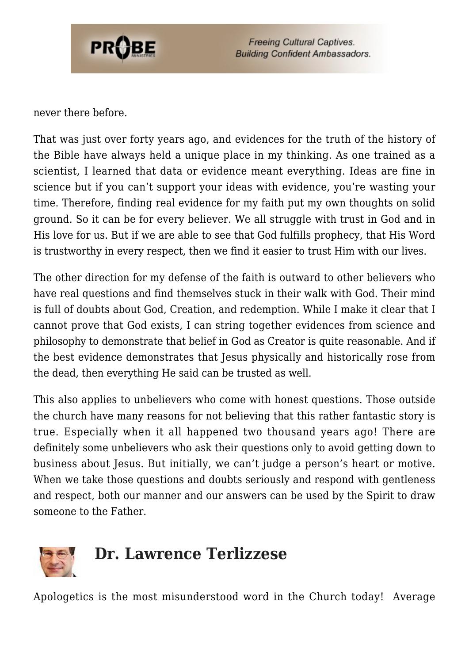

never there before.

That was just over forty years ago, and evidences for the truth of the history of the Bible have always held a unique place in my thinking. As one trained as a scientist, I learned that data or evidence meant everything. Ideas are fine in science but if you can't support your ideas with evidence, you're wasting your time. Therefore, finding real evidence for my faith put my own thoughts on solid ground. So it can be for every believer. We all struggle with trust in God and in His love for us. But if we are able to see that God fulfills prophecy, that His Word is trustworthy in every respect, then we find it easier to trust Him with our lives.

The other direction for my defense of the faith is outward to other believers who have real questions and find themselves stuck in their walk with God. Their mind is full of doubts about God, Creation, and redemption. While I make it clear that I cannot prove that God exists, I can string together evidences from science and philosophy to demonstrate that belief in God as Creator is quite reasonable. And if the best evidence demonstrates that Jesus physically and historically rose from the dead, then everything He said can be trusted as well.

This also applies to unbelievers who come with honest questions. Those outside the church have many reasons for not believing that this rather fantastic story is true. Especially when it all happened two thousand years ago! There are definitely some unbelievers who ask their questions only to avoid getting down to business about Jesus. But initially, we can't judge a person's heart or motive. When we take those questions and doubts seriously and respond with gentleness and respect, both our manner and our answers can be used by the Spirit to draw someone to the Father.



Apologetics is the most misunderstood word in the Church today! Average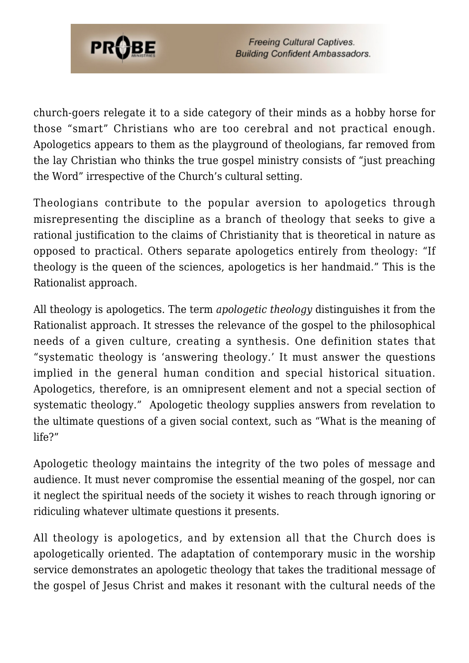

church-goers relegate it to a side category of their minds as a hobby horse for those "smart" Christians who are too cerebral and not practical enough. Apologetics appears to them as the playground of theologians, far removed from the lay Christian who thinks the true gospel ministry consists of "just preaching the Word" irrespective of the Church's cultural setting.

Theologians contribute to the popular aversion to apologetics through misrepresenting the discipline as a branch of theology that seeks to give a rational justification to the claims of Christianity that is theoretical in nature as opposed to practical. Others separate apologetics entirely from theology: "If theology is the queen of the sciences, apologetics is her handmaid." This is the Rationalist approach.

All theology is apologetics. The term *apologetic theology* distinguishes it from the Rationalist approach. It stresses the relevance of the gospel to the philosophical needs of a given culture, creating a synthesis. One definition states that "systematic theology is 'answering theology.' It must answer the questions implied in the general human condition and special historical situation. Apologetics, therefore, is an omnipresent element and not a special section of systematic theology." Apologetic theology supplies answers from revelation to the ultimate questions of a given social context, such as "What is the meaning of life?"

Apologetic theology maintains the integrity of the two poles of message and audience. It must never compromise the essential meaning of the gospel, nor can it neglect the spiritual needs of the society it wishes to reach through ignoring or ridiculing whatever ultimate questions it presents.

All theology is apologetics, and by extension all that the Church does is apologetically oriented. The adaptation of contemporary music in the worship service demonstrates an apologetic theology that takes the traditional message of the gospel of Jesus Christ and makes it resonant with the cultural needs of the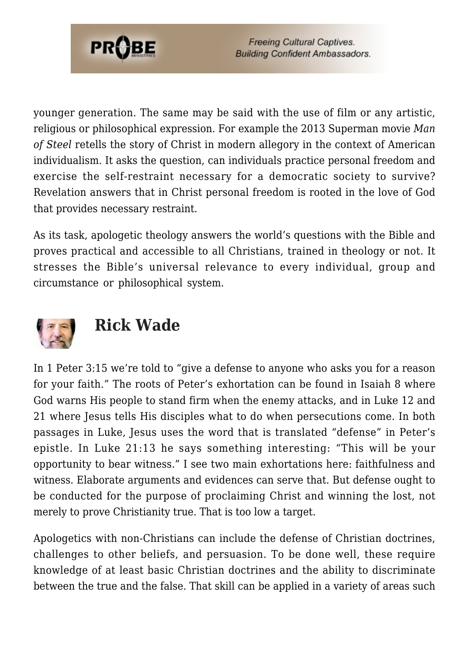

younger generation. The same may be said with the use of film or any artistic, religious or philosophical expression. For example the 2013 Superman movie *Man of Steel* retells the story of Christ in modern allegory in the context of American individualism. It asks the question, can individuals practice personal freedom and exercise the self-restraint necessary for a democratic society to survive? Revelation answers that in Christ personal freedom is rooted in the love of God that provides necessary restraint.

As its task, apologetic theology answers the world's questions with the Bible and proves practical and accessible to all Christians, trained in theology or not. It stresses the Bible's universal relevance to every individual, group and circumstance or philosophical system.



## **Rick Wade**

In 1 Peter 3:15 we're told to "give a defense to anyone who asks you for a reason for your faith." The roots of Peter's exhortation can be found in Isaiah 8 where God warns His people to stand firm when the enemy attacks, and in Luke 12 and 21 where Jesus tells His disciples what to do when persecutions come. In both passages in Luke, Jesus uses the word that is translated "defense" in Peter's epistle. In Luke 21:13 he says something interesting: "This will be your opportunity to bear witness." I see two main exhortations here: faithfulness and witness. Elaborate arguments and evidences can serve that. But defense ought to be conducted for the purpose of proclaiming Christ and winning the lost, not merely to prove Christianity true. That is too low a target.

Apologetics with non-Christians can include the defense of Christian doctrines, challenges to other beliefs, and persuasion. To be done well, these require knowledge of at least basic Christian doctrines and the ability to discriminate between the true and the false. That skill can be applied in a variety of areas such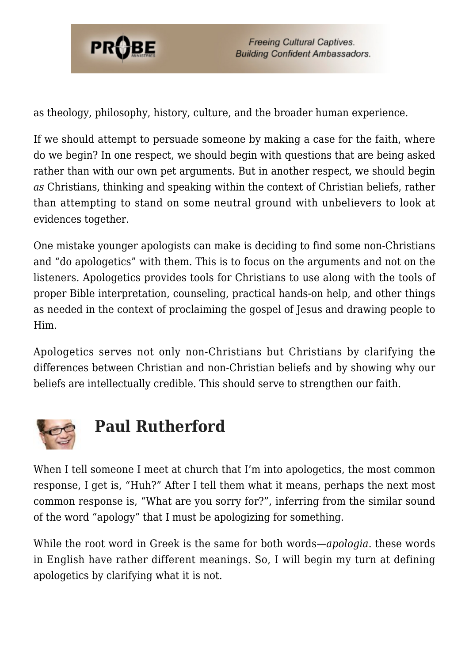

as theology, philosophy, history, culture, and the broader human experience.

If we should attempt to persuade someone by making a case for the faith, where do we begin? In one respect, we should begin with questions that are being asked rather than with our own pet arguments. But in another respect, we should begin *as* Christians, thinking and speaking within the context of Christian beliefs, rather than attempting to stand on some neutral ground with unbelievers to look at evidences together.

One mistake younger apologists can make is deciding to find some non-Christians and "do apologetics" with them. This is to focus on the arguments and not on the listeners. Apologetics provides tools for Christians to use along with the tools of proper Bible interpretation, counseling, practical hands-on help, and other things as needed in the context of proclaiming the gospel of Jesus and drawing people to Him.

Apologetics serves not only non-Christians but Christians by clarifying the differences between Christian and non-Christian beliefs and by showing why our beliefs are intellectually credible. This should serve to strengthen our faith.



## **Paul Rutherford**

When I tell someone I meet at church that I'm into apologetics, the most common response, I get is, "Huh?" After I tell them what it means, perhaps the next most common response is, "What are you sorry for?", inferring from the similar sound of the word "apology" that I must be apologizing for something.

While the root word in Greek is the same for both words—*apologia*. these words in English have rather different meanings. So, I will begin my turn at defining apologetics by clarifying what it is not.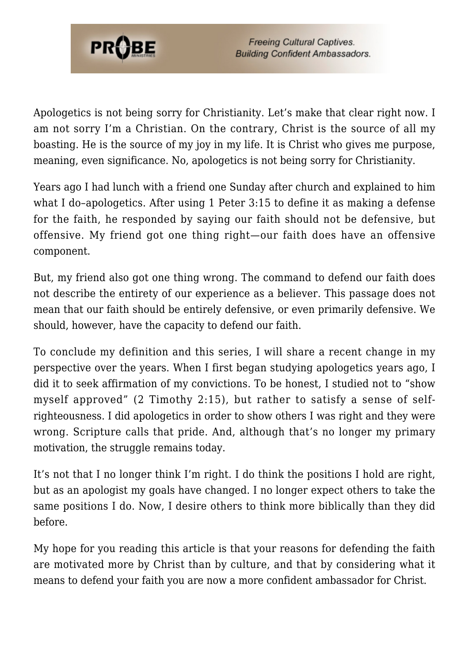

Apologetics is not being sorry for Christianity. Let's make that clear right now. I am not sorry I'm a Christian. On the contrary, Christ is the source of all my boasting. He is the source of my joy in my life. It is Christ who gives me purpose, meaning, even significance. No, apologetics is not being sorry for Christianity.

Years ago I had lunch with a friend one Sunday after church and explained to him what I do–apologetics. After using 1 Peter 3:15 to define it as making a defense for the faith, he responded by saying our faith should not be defensive, but offensive. My friend got one thing right—our faith does have an offensive component.

But, my friend also got one thing wrong. The command to defend our faith does not describe the entirety of our experience as a believer. This passage does not mean that our faith should be entirely defensive, or even primarily defensive. We should, however, have the capacity to defend our faith.

To conclude my definition and this series, I will share a recent change in my perspective over the years. When I first began studying apologetics years ago, I did it to seek affirmation of my convictions. To be honest, I studied not to "show myself approved" (2 Timothy 2:15), but rather to satisfy a sense of selfrighteousness. I did apologetics in order to show others I was right and they were wrong. Scripture calls that pride. And, although that's no longer my primary motivation, the struggle remains today.

It's not that I no longer think I'm right. I do think the positions I hold are right, but as an apologist my goals have changed. I no longer expect others to take the same positions I do. Now, I desire others to think more biblically than they did before.

My hope for you reading this article is that your reasons for defending the faith are motivated more by Christ than by culture, and that by considering what it means to defend your faith you are now a more confident ambassador for Christ.